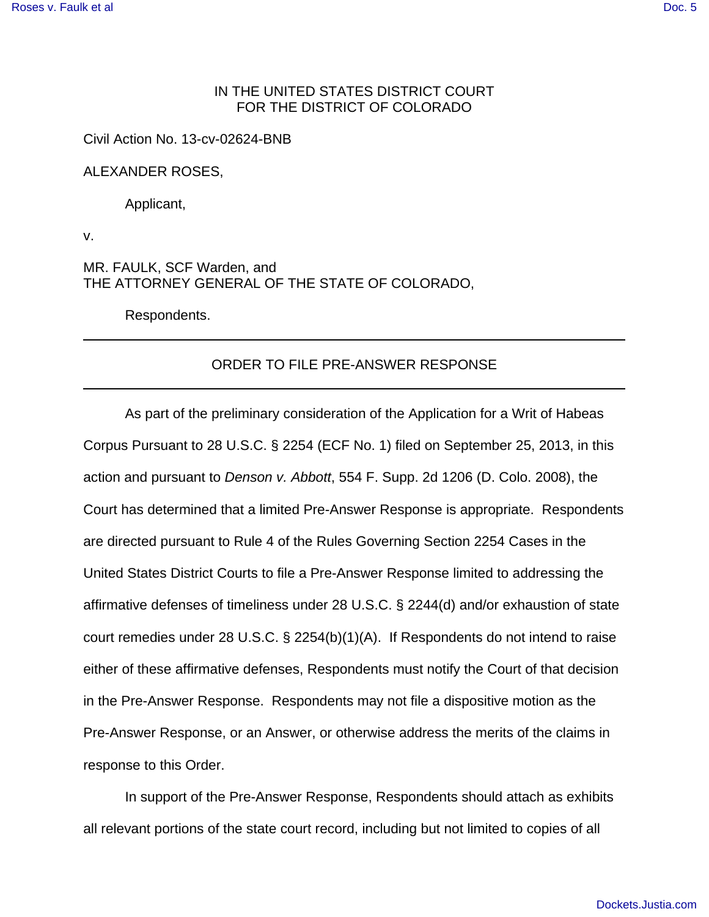## IN THE UNITED STATES DISTRICT COURT FOR THE DISTRICT OF COLORADO

Civil Action No. 13-cv-02624-BNB

ALEXANDER ROSES,

Applicant,

v.

MR. FAULK, SCF Warden, and THE ATTORNEY GENERAL OF THE STATE OF COLORADO,

Respondents.

## ORDER TO FILE PRE-ANSWER RESPONSE

As part of the preliminary consideration of the Application for a Writ of Habeas Corpus Pursuant to 28 U.S.C. § 2254 (ECF No. 1) filed on September 25, 2013, in this action and pursuant to Denson v. Abbott, 554 F. Supp. 2d 1206 (D. Colo. 2008), the Court has determined that a limited Pre-Answer Response is appropriate. Respondents are directed pursuant to Rule 4 of the Rules Governing Section 2254 Cases in the United States District Courts to file a Pre-Answer Response limited to addressing the affirmative defenses of timeliness under 28 U.S.C. § 2244(d) and/or exhaustion of state court remedies under 28 U.S.C. § 2254(b)(1)(A). If Respondents do not intend to raise either of these affirmative defenses, Respondents must notify the Court of that decision in the Pre-Answer Response. Respondents may not file a dispositive motion as the Pre-Answer Response, or an Answer, or otherwise address the merits of the claims in response to this Order.

 In support of the Pre-Answer Response, Respondents should attach as exhibits all relevant portions of the state court record, including but not limited to copies of all